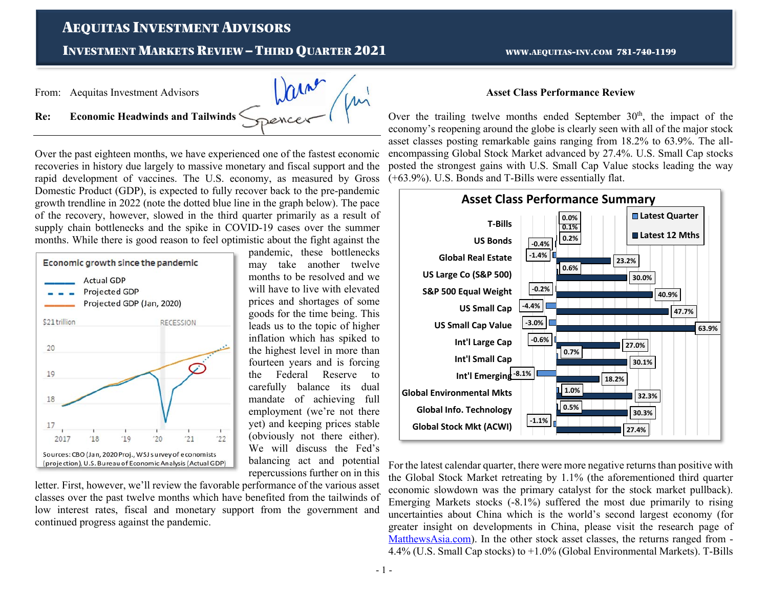# AEQUITAS INVESTMENT ADVISORS

## **INVESTMENT MARKETS REVIEW - THIRD OUARTER 2021**

WWW.AEQUITAS-INV.COM 781-740-1199

From: Aequitas Investment Advisors



**Re: Economic Headwinds and Tailwinds** 

Over the past eighteen months, we have experienced one of the fastest economic recoveries in history due largely to massive monetary and fiscal support and the rapid development of vaccines. The U.S. economy, as measured by Gross Domestic Product (GDP), is expected to fully recover back to the pre-pandemic growth trendline in 2022 (note the dotted blue line in the graph below). The pace of the recovery, however, slowed in the third quarter primarily as a result of supply chain bottlenecks and the spike in COVID-19 cases over the summer months. While there is good reason to feel optimistic about the fight against the



pandemic, these bottlenecks may take another twelve months to be resolved and we will have to live with elevated prices and shortages of some goods for the time being. This leads us to the topic of higher inflation which has spiked to the highest level in more than fourteen years and is forcing the Federal Reserve to carefully balance its dual mandate of achieving full employment (we're not there yet) and keeping prices stable (obviously not there either). We will discuss the Fed's balancing act and potential repercussions further on in this

letter. First, however, we'll review the favorable performance of the various asset classes over the past twelve months which have benefited from the tailwinds of low interest rates, fiscal and monetary support from the government and continued progress against the pandemic.

#### **Asset Class Performance Review**

Over the trailing twelve months ended September  $30<sup>th</sup>$ , the impact of the economy's reopening around the globe is clearly seen with all of the major stock asset classes posting remarkable gains ranging from 18.2% to 63.9%. The allencompassing Global Stock Market advanced by 27.4%. U.S. Small Cap stocks posted the strongest gains with U.S. Small Cap Value stocks leading the way (+63.9%). U.S. Bonds and T-Bills were essentially flat.



For the latest calendar quarter, there were more negative returns than positive with the Global Stock Market retreating by 1.1% (the aforementioned third quarter economic slowdown was the primary catalyst for the stock market pullback). Emerging Markets stocks (-8.1%) suffered the most due primarily to rising uncertainties about China which is the world's second largest economy (for greater insight on developments in China, please visit the research page of MatthewsAsia.com). In the other stock asset classes, the returns ranged from - 4.4% (U.S. Small Cap stocks) to +1.0% (Global Environmental Markets). T-Bills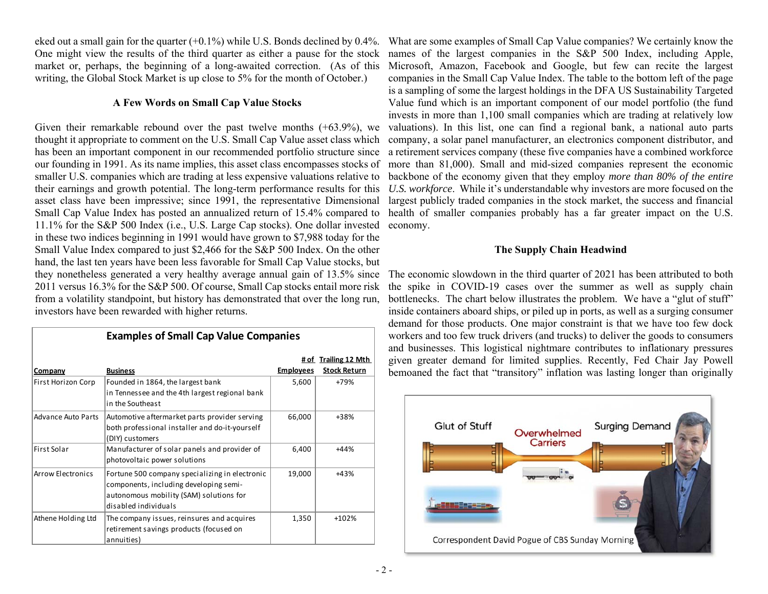eked out a small gain for the quarter  $(+0.1\%)$  while U.S. Bonds declined by 0.4%. market or, perhaps, the beginning of a long-awaited correction. (As of this writing, the Global Stock Market is up close to 5% for the month of October.)

#### **A Few Words on Small Cap Value Stocks**

Given their remarkable rebound over the past twelve months (+63.9%), we thought it appropriate to comment on the U.S. Small Cap Value asset class which smaller U.S. companies which are trading at less expensive valuations relative to their earnings and growth potential. The long-term performance results for this asset class have been impressive; since 1991, the representative Dimensional Small Cap Value Index has posted an annualized return of 15.4% compared to 11.1% for the S&P 500 Index (i.e., U.S. Large Cap stocks). One dollar invested in these two indices beginning in 1991 would have grown to \$7,988 today for the Small Value Index compared to just \$2,466 for the S&P 500 Index. On the other hand, the last ten years have been less favorable for Small Cap Value stocks, but they nonetheless generated a very healthy average annual gain of 13.5% since 2011 versus 16.3% for the S&P 500. Of course, Small Cap stocks entail more risk from a volatility standpoint, but history has demonstrated that over the long run, investors have been rewarded with higher returns.

|                           | <b>Examples of Small Cap Value Companies</b>                                                                                                                |                                |                     |
|---------------------------|-------------------------------------------------------------------------------------------------------------------------------------------------------------|--------------------------------|---------------------|
|                           |                                                                                                                                                             | <b>Trailing 12 Mth</b><br># of |                     |
| <b>Company</b>            | <b>Business</b>                                                                                                                                             | <b>Employees</b>               | <b>Stock Return</b> |
| First Horizon Corp        | Founded in 1864, the largest bank<br>in Tennessee and the 4th largest regional bank<br>in the Southeast                                                     | 5,600                          | +79%                |
| <b>Advance Auto Parts</b> | Automotive aftermarket parts provider serving<br>both professional installer and do-it-yourself<br>(DIY) customers                                          | 66,000                         | +38%                |
| First Solar               | Manufacturer of solar panels and provider of<br>photovoltaic power solutions                                                                                | 6,400                          | $+44%$              |
| Arrow Electronics         | Fortune 500 company specializing in electronic<br>components, including developing semi-<br>autonomous mobility (SAM) solutions for<br>disabled individuals | 19,000                         | $+43%$              |
| Athene Holding Ltd        | The company issues, reinsures and acquires<br>retirement savings products (focused on<br>annuities)                                                         | 1,350                          | +102%               |

One might view the results of the third quarter as either a pause for the stock names of the largest companies in the S&P 500 Index, including Apple, has been an important component in our recommended portfolio structure since a retirement services company (these five companies have a combined workforce our founding in 1991. As its name implies, this asset class encompasses stocks of more than 81,000). Small and mid-sized companies represent the economic What are some examples of Small Cap Value companies? We certainly know the Microsoft, Amazon, Facebook and Google, but few can recite the largest companies in the Small Cap Value Index. The table to the bottom left of the page is a sampling of some the largest holdings in the DFA US Sustainability Targeted Value fund which is an important component of our model portfolio (the fund invests in more than 1,100 small companies which are trading at relatively low valuations). In this list, one can find a regional bank, a national auto parts company, a solar panel manufacturer, an electronics component distributor, and backbone of the economy given that they employ *more than 80% of the entire U.S. workforce*. While it's understandable why investors are more focused on the largest publicly traded companies in the stock market, the success and financial health of smaller companies probably has a far greater impact on the U.S. economy.

## **The Supply Chain Headwind**

The economic slowdown in the third quarter of 2021 has been attributed to both the spike in COVID-19 cases over the summer as well as supply chain bottlenecks. The chart below illustrates the problem. We have a "glut of stuff" inside containers aboard ships, or piled up in ports, as well as a surging consumer demand for those products. One major constraint is that we have too few dock workers and too few truck drivers (and trucks) to deliver the goods to consumers and businesses. This logistical nightmare contributes to inflationary pressures given greater demand for limited supplies. Recently, Fed Chair Jay Powell bemoaned the fact that "transitory" inflation was lasting longer than originally

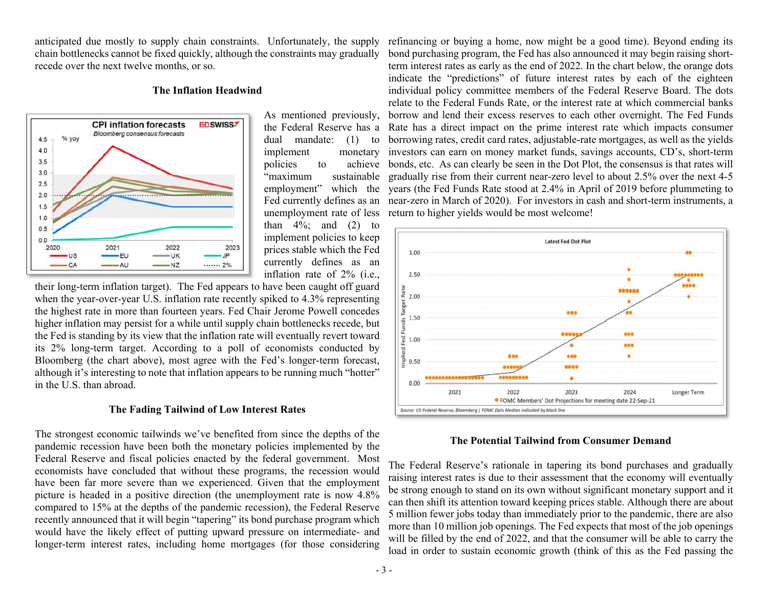anticipated due mostly to supply chain constraints. Unfortunately, the supply chain bottlenecks cannot be fixed quickly, although the constraints may gradually recede over the next twelve months, or so.

#### **The Inflation Headwind**



As mentioned previously, implement "maximum sustainable employment" which the Fed currently defines as an unemployment rate of less than  $4\%$ ; and  $(2)$  to implement policies to keep prices stable which the Fed currently defines as an inflation rate of 2% (i.e.,

their long-term inflation target). The Fed appears to have been caught off guard when the year-over-year U.S. inflation rate recently spiked to 4.3% representing the highest rate in more than fourteen years. Fed Chair Jerome Powell concedes higher inflation may persist for a while until supply chain bottlenecks recede, but the Fed is standing by its view that the inflation rate will eventually revert toward its 2% long-term target. According to a poll of economists conducted by Bloomberg (the chart above), most agree with the Fed's longer-term forecast, although it's interesting to note that inflation appears to be running much "hotter" in the U.S. than abroad.

## **The Fading Tailwind of Low Interest Rates**

The strongest economic tailwinds we've benefited from since the depths of the pandemic recession have been both the monetary policies implemented by the Federal Reserve and fiscal policies enacted by the federal government. Most economists have concluded that without these programs, the recession would have been far more severe than we experienced. Given that the employment picture is headed in a positive direction (the unemployment rate is now 4.8% compared to 15% at the depths of the pandemic recession), the Federal Reserve recently announced that it will begin "tapering" its bond purchase program which would have the likely effect of putting upward pressure on intermediate- and longer-term interest rates, including home mortgages (for those considering

the Federal Reserve has a Rate has a direct impact on the prime interest rate which impacts consumer dual mandate: (1) to borrowing rates, credit card rates, adjustable-rate mortgages, as well as the yields policies to achieve bonds, etc. As can clearly be seen in the Dot Plot, the consensus is that rates will refinancing or buying a home, now might be a good time). Beyond ending its bond purchasing program, the Fed has also announced it may begin raising shortterm interest rates as early as the end of 2022. In the chart below, the orange dots indicate the "predictions" of future interest rates by each of the eighteen individual policy committee members of the Federal Reserve Board. The dots relate to the Federal Funds Rate, or the interest rate at which commercial banks borrow and lend their excess reserves to each other overnight. The Fed Funds monetary investors can earn on money market funds, savings accounts, CD's, short-term gradually rise from their current near-zero level to about 2.5% over the next 4-5 years (the Fed Funds Rate stood at 2.4% in April of 2019 before plummeting to near-zero in March of 2020). For investors in cash and short-term instruments, a return to higher yields would be most welcome!



## **The Potential Tailwind from Consumer Demand**

The Federal Reserve's rationale in tapering its bond purchases and gradually raising interest rates is due to their assessment that the economy will eventually be strong enough to stand on its own without significant monetary support and it can then shift its attention toward keeping prices stable. Although there are about 5 million fewer jobs today than immediately prior to the pandemic, there are also more than 10 million job openings. The Fed expects that most of the job openings will be filled by the end of 2022, and that the consumer will be able to carry the load in order to sustain economic growth (think of this as the Fed passing the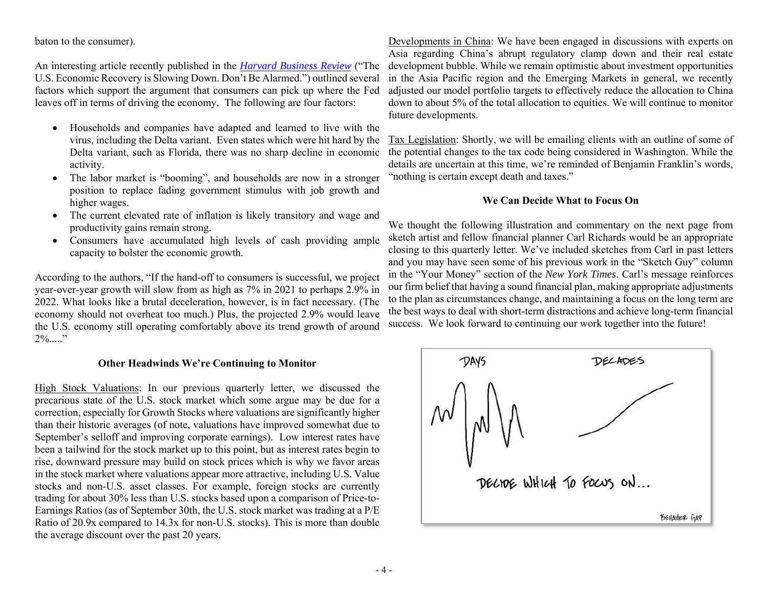baton to the consumer).

An interesting article recently published in the *Harvard Business Review* ("The U.S. Economic Recovery is Slowing Down. Don't Be Alarmed.") outlined several factors which support the argument that consumers can pick up where the Fed leaves off in terms of driving the economy. The following are four factors:

- Households and companies have adapted and learned to live with the virus, including the Delta variant. Even states which were hit hard by the Delta variant, such as Florida, there was no sharp decline in economic activity.
- $\bullet$  The labor market is "booming", and households are now in a stronger position to replace fading government stimulus with job growth and higher wages.
- e The current elevated rate of inflation is likely transitory and wage and productivity gains remain strong.
- Consumers have accumulated high levels of cash providing ample capacity to bolster the economic growth.

According to the authors, "If the hand-off to consumers is successful, we project year-over-year growth will slow from as high as 7% in 2021 to perhaps 2.9% in 2022. What looks like a brutal deceleration, however, is in fact necessary. (The economy should not overheat too much.) Plus, the projected 2.9% would leave the U.S. economy still operating comfortably above its trend growth of around  $2\%$ ....."

#### **Other Headwinds We're Continuing to Monitor**

High Stock Valuations: In our previous quarterly letter, we discussed the precarious state of the U.S. stock market which some argue may be due for a correction, especially for Growth Stocks where valuations are significantly higher than their historic averages (of note, valuations have improved somewhat due to September's selloff and improving corporate earnings). Low interest rates have been a tailwind for the stock market up to this point, but as interest rates begin to rise, downward pressure may build on stock prices which is why we favor areas in the stock market where valuations appear more attractive, including U.S. Value stocks and non-U.S. asset classes. For example, foreign stocks are currently trading for about 30% less than U.S. stocks based upon a comparison of Price-to-Earnings Ratios (as of September 30th, the U.S. stock market was trading at a P/E Ratio of 20.9x compared to 14.3x for non-U.S. stocks). This is more than double the average discount over the past 20 years.

Developments in China: We have been engaged in discussions with experts on Asia regarding China's abrupt regulatory clamp down and their real estate development bubble. While we remain optimistic about investment opportunities in the Asia Pacific region and the Emerging Markets in general, we recently adjusted our model portfolio targets to effectively reduce the allocation to China down to about 5% of the total allocation to equities. We will continue to monitor future developments.

Tax Legislation: Shortly, we will be emailing clients with an outline of some of the potential changes to the tax code being considered in Washington. While the details are uncertain at this time, we're reminded of Benjamin Franklin's words, "nothing is certain except death and taxes."

## **We Can Decide What to Focus On**

We thought the following illustration and commentary on the next page from sketch artist and fellow financial planner Carl Richards would be an appropriate closing to this quarterly letter. We've included sketches from Carl in past letters and you may have seen some of his previous work in the "Sketch Guy" column in the "Your Money" section of the *New York Times*. Carl's message reinforces our firm belief that having a sound financial plan, making appropriate adjustments to the plan as circumstances change, and maintaining a focus on the long term are the best ways to deal with short-term distractions and achieve long-term financial success. We look forward to continuing our work together into the future!